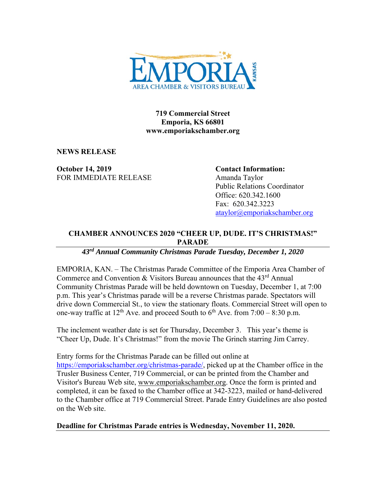

**719 Commercial Street Emporia, KS 66801 www.emporiakschamber.org** 

**NEWS RELEASE** 

**October 14, 2019** Contact Information: FOR IMMEDIATE RELEASE Amanda Taylor

Public Relations Coordinator Office: 620.342.1600 Fax: 620.342.3223 ataylor@emporiakschamber.org

## **CHAMBER ANNOUNCES 2020 "CHEER UP, DUDE. IT'S CHRISTMAS!" PARADE**

*43rd Annual Community Christmas Parade Tuesday, December 1, 2020* 

EMPORIA, KAN. – The Christmas Parade Committee of the Emporia Area Chamber of Commerce and Convention  $& Visitors$  Bureau announces that the  $43<sup>rd</sup>$  Annual Community Christmas Parade will be held downtown on Tuesday, December 1, at 7:00 p.m. This year's Christmas parade will be a reverse Christmas parade. Spectators will drive down Commercial St., to view the stationary floats. Commercial Street will open to one-way traffic at  $12^{th}$  Ave. and proceed South to  $6^{th}$  Ave. from  $7:00 - 8:30$  p.m.

The inclement weather date is set for Thursday, December 3. This year's theme is "Cheer Up, Dude. It's Christmas!" from the movie The Grinch starring Jim Carrey.

Entry forms for the Christmas Parade can be filled out online at https://emporiakschamber.org/christmas-parade/, picked up at the Chamber office in the Trusler Business Center, 719 Commercial, or can be printed from the Chamber and Visitor's Bureau Web site, www.emporiakschamber.org. Once the form is printed and completed, it can be faxed to the Chamber office at 342-3223, mailed or hand-delivered to the Chamber office at 719 Commercial Street. Parade Entry Guidelines are also posted on the Web site.

**Deadline for Christmas Parade entries is Wednesday, November 11, 2020.**